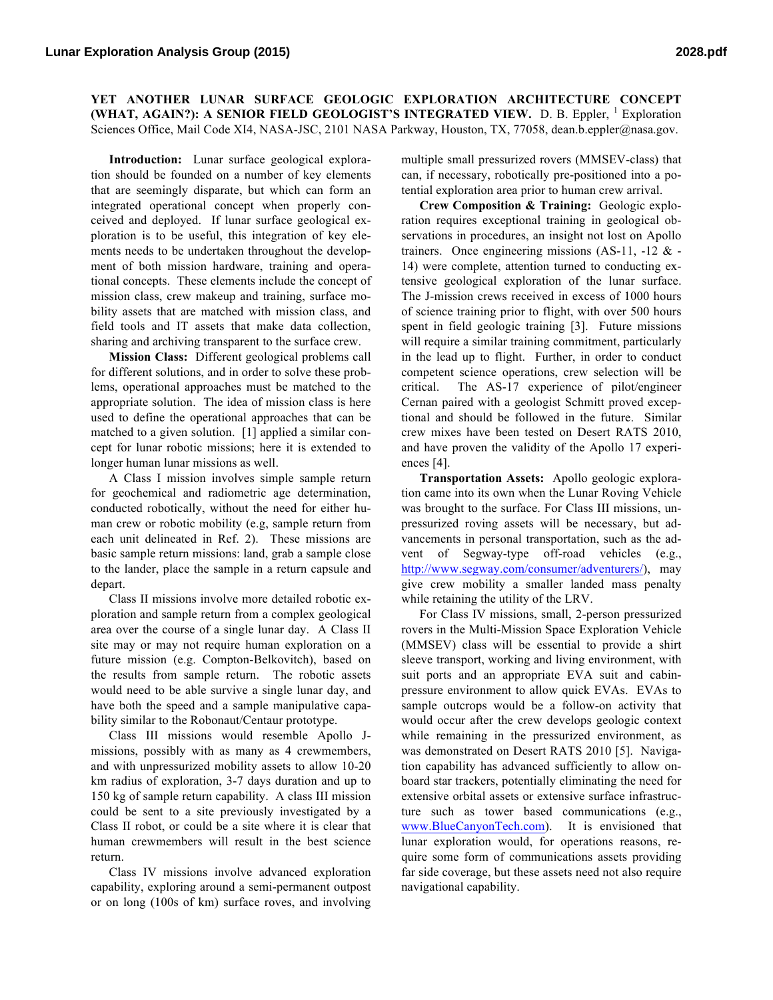**YET ANOTHER LUNAR SURFACE GEOLOGIC EXPLORATION ARCHITECTURE CONCEPT (WHAT, AGAIN?): A SENIOR FIELD GEOLOGIST'S INTEGRATED VIEW.** D. B. Eppler, <sup>1</sup> Exploration Sciences Office, Mail Code XI4, NASA-JSC, 2101 NASA Parkway, Houston, TX, 77058, dean.b.eppler@nasa.gov.

**Introduction:** Lunar surface geological exploration should be founded on a number of key elements that are seemingly disparate, but which can form an integrated operational concept when properly conceived and deployed. If lunar surface geological exploration is to be useful, this integration of key elements needs to be undertaken throughout the development of both mission hardware, training and operational concepts. These elements include the concept of mission class, crew makeup and training, surface mobility assets that are matched with mission class, and field tools and IT assets that make data collection, sharing and archiving transparent to the surface crew.

**Mission Class:** Different geological problems call for different solutions, and in order to solve these problems, operational approaches must be matched to the appropriate solution. The idea of mission class is here used to define the operational approaches that can be matched to a given solution. [1] applied a similar concept for lunar robotic missions; here it is extended to longer human lunar missions as well.

A Class I mission involves simple sample return for geochemical and radiometric age determination, conducted robotically, without the need for either human crew or robotic mobility (e.g, sample return from each unit delineated in Ref. 2). These missions are basic sample return missions: land, grab a sample close to the lander, place the sample in a return capsule and depart.

Class II missions involve more detailed robotic exploration and sample return from a complex geological area over the course of a single lunar day. A Class II site may or may not require human exploration on a future mission (e.g. Compton-Belkovitch), based on the results from sample return. The robotic assets would need to be able survive a single lunar day, and have both the speed and a sample manipulative capability similar to the Robonaut/Centaur prototype.

Class III missions would resemble Apollo Jmissions, possibly with as many as 4 crewmembers, and with unpressurized mobility assets to allow 10-20 km radius of exploration, 3-7 days duration and up to 150 kg of sample return capability. A class III mission could be sent to a site previously investigated by a Class II robot, or could be a site where it is clear that human crewmembers will result in the best science return.

Class IV missions involve advanced exploration capability, exploring around a semi-permanent outpost or on long (100s of km) surface roves, and involving

multiple small pressurized rovers (MMSEV-class) that can, if necessary, robotically pre-positioned into a potential exploration area prior to human crew arrival.

**Crew Composition & Training:** Geologic exploration requires exceptional training in geological observations in procedures, an insight not lost on Apollo trainers. Once engineering missions (AS-11, -12  $&$  -14) were complete, attention turned to conducting extensive geological exploration of the lunar surface. The J-mission crews received in excess of 1000 hours of science training prior to flight, with over 500 hours spent in field geologic training [3]. Future missions will require a similar training commitment, particularly in the lead up to flight. Further, in order to conduct competent science operations, crew selection will be critical. The AS-17 experience of pilot/engineer Cernan paired with a geologist Schmitt proved exceptional and should be followed in the future. Similar crew mixes have been tested on Desert RATS 2010, and have proven the validity of the Apollo 17 experiences [4].

**Transportation Assets:** Apollo geologic exploration came into its own when the Lunar Roving Vehicle was brought to the surface. For Class III missions, unpressurized roving assets will be necessary, but advancements in personal transportation, such as the advent of Segway-type off-road vehicles (e.g., http://www.segway.com/consumer/adventurers/), may give crew mobility a smaller landed mass penalty while retaining the utility of the LRV.

For Class IV missions, small, 2-person pressurized rovers in the Multi-Mission Space Exploration Vehicle (MMSEV) class will be essential to provide a shirt sleeve transport, working and living environment, with suit ports and an appropriate EVA suit and cabinpressure environment to allow quick EVAs. EVAs to sample outcrops would be a follow-on activity that would occur after the crew develops geologic context while remaining in the pressurized environment, as was demonstrated on Desert RATS 2010 [5]. Navigation capability has advanced sufficiently to allow onboard star trackers, potentially eliminating the need for extensive orbital assets or extensive surface infrastructure such as tower based communications (e.g., www.BlueCanyonTech.com). It is envisioned that lunar exploration would, for operations reasons, require some form of communications assets providing far side coverage, but these assets need not also require navigational capability.